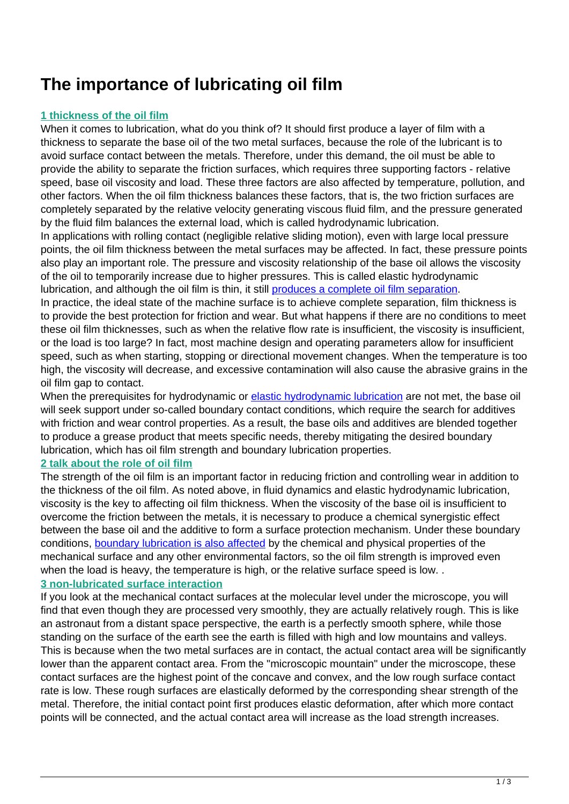# **The importance of lubricating oil film**

# **1 thickness of the oil film**

When it comes to lubrication, what do you think of? It should first produce a layer of film with a thickness to separate the base oil of the two metal surfaces, because the role of the lubricant is to avoid surface contact between the metals. Therefore, under this demand, the oil must be able to provide the ability to separate the friction surfaces, which requires three supporting factors - relative speed, base oil viscosity and load. These three factors are also affected by temperature, pollution, and other factors. When the oil film thickness balances these factors, that is, the two friction surfaces are completely separated by the relative velocity generating viscous fluid film, and the pressure generated by the fluid film balances the external load, which is called hydrodynamic lubrication.

In applications with rolling contact (negligible relative sliding motion), even with large local pressure points, the oil film thickness between the metal surfaces may be affected. In fact, these pressure points also play an important role. The pressure and viscosity relationship of the base oil allows the viscosity of the oil to temporarily increase due to higher pressures. This is called elastic hydrodynamic lubrication, and although the oil film is thin, it still [produces a complete oil film separation.](http://www.anomalia.org/)

In practice, the ideal state of the machine surface is to achieve complete separation, film thickness is to provide the best protection for friction and wear. But what happens if there are no conditions to meet these oil film thicknesses, such as when the relative flow rate is insufficient, the viscosity is insufficient, or the load is too large? In fact, most machine design and operating parameters allow for insufficient speed, such as when starting, stopping or directional movement changes. When the temperature is too high, the viscosity will decrease, and excessive contamination will also cause the abrasive grains in the oil film gap to contact.

When the prerequisites for hydrodynamic or [elastic hydrodynamic lubrication](http://www.anomalia.org/factory-1289-skf-original-single-row-tapered-bearings) are not met, the base oil will seek support under so-called boundary contact conditions, which require the search for additives with friction and wear control properties. As a result, the base oils and additives are blended together to produce a grease product that meets specific needs, thereby mitigating the desired boundary lubrication, which has oil film strength and boundary lubrication properties.

# **2 talk about the role of oil film**

The strength of the oil film is an important factor in reducing friction and controlling wear in addition to the thickness of the oil film. As noted above, in fluid dynamics and elastic hydrodynamic lubrication, viscosity is the key to affecting oil film thickness. When the viscosity of the base oil is insufficient to overcome the friction between the metals, it is necessary to produce a chemical synergistic effect between the base oil and the additive to form a surface protection mechanism. Under these boundary conditions, [boundary lubrication is also affected](http://www.anomalia.org/factory-1655-famous-brand-bearings-and-block) by the chemical and physical properties of the mechanical surface and any other environmental factors, so the oil film strength is improved even when the load is heavy, the temperature is high, or the relative surface speed is low...

# **3 non-lubricated surface interaction**

If you look at the mechanical contact surfaces at the molecular level under the microscope, you will find that even though they are processed very smoothly, they are actually relatively rough. This is like an astronaut from a distant space perspective, the earth is a perfectly smooth sphere, while those standing on the surface of the earth see the earth is filled with high and low mountains and valleys. This is because when the two metal surfaces are in contact, the actual contact area will be significantly lower than the apparent contact area. From the "microscopic mountain" under the microscope, these contact surfaces are the highest point of the concave and convex, and the low rough surface contact rate is low. These rough surfaces are elastically deformed by the corresponding shear strength of the metal. Therefore, the initial contact point first produces elastic deformation, after which more contact points will be connected, and the actual contact area will increase as the load strength increases.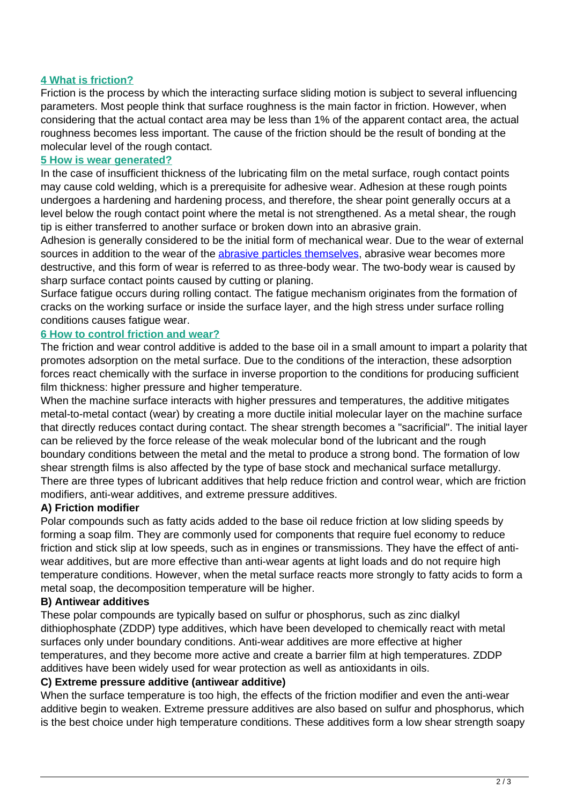# **4 What is friction?**

Friction is the process by which the interacting surface sliding motion is subject to several influencing parameters. Most people think that surface roughness is the main factor in friction. However, when considering that the actual contact area may be less than 1% of the apparent contact area, the actual roughness becomes less important. The cause of the friction should be the result of bonding at the molecular level of the rough contact.

#### **5 How is wear generated?**

In the case of insufficient thickness of the lubricating film on the metal surface, rough contact points may cause cold welding, which is a prerequisite for adhesive wear. Adhesion at these rough points undergoes a hardening and hardening process, and therefore, the shear point generally occurs at a level below the rough contact point where the metal is not strengthened. As a metal shear, the rough tip is either transferred to another surface or broken down into an abrasive grain.

Adhesion is generally considered to be the initial form of mechanical wear. Due to the wear of external sources in addition to the wear of the [abrasive particles themselves,](http://www.anomalia.org/aboutus.html) abrasive wear becomes more destructive, and this form of wear is referred to as three-body wear. The two-body wear is caused by sharp surface contact points caused by cutting or planing.

Surface fatigue occurs during rolling contact. The fatigue mechanism originates from the formation of cracks on the working surface or inside the surface layer, and the high stress under surface rolling conditions causes fatigue wear.

# **6 How to control friction and wear?**

The friction and wear control additive is added to the base oil in a small amount to impart a polarity that promotes adsorption on the metal surface. Due to the conditions of the interaction, these adsorption forces react chemically with the surface in inverse proportion to the conditions for producing sufficient film thickness: higher pressure and higher temperature.

When the machine surface interacts with higher pressures and temperatures, the additive mitigates metal-to-metal contact (wear) by creating a more ductile initial molecular layer on the machine surface that directly reduces contact during contact. The shear strength becomes a "sacrificial". The initial layer can be relieved by the force release of the weak molecular bond of the lubricant and the rough boundary conditions between the metal and the metal to produce a strong bond. The formation of low shear strength films is also affected by the type of base stock and mechanical surface metallurgy. There are three types of lubricant additives that help reduce friction and control wear, which are friction modifiers, anti-wear additives, and extreme pressure additives.

# **A) Friction modifier**

Polar compounds such as fatty acids added to the base oil reduce friction at low sliding speeds by forming a soap film. They are commonly used for components that require fuel economy to reduce friction and stick slip at low speeds, such as in engines or transmissions. They have the effect of antiwear additives, but are more effective than anti-wear agents at light loads and do not require high temperature conditions. However, when the metal surface reacts more strongly to fatty acids to form a metal soap, the decomposition temperature will be higher.

# **B) Antiwear additives**

These polar compounds are typically based on sulfur or phosphorus, such as zinc dialkyl dithiophosphate (ZDDP) type additives, which have been developed to chemically react with metal surfaces only under boundary conditions. Anti-wear additives are more effective at higher temperatures, and they become more active and create a barrier film at high temperatures. ZDDP additives have been widely used for wear protection as well as antioxidants in oils.

# **C) Extreme pressure additive (antiwear additive)**

When the surface temperature is too high, the effects of the friction modifier and even the anti-wear additive begin to weaken. Extreme pressure additives are also based on sulfur and phosphorus, which is the best choice under high temperature conditions. These additives form a low shear strength soapy